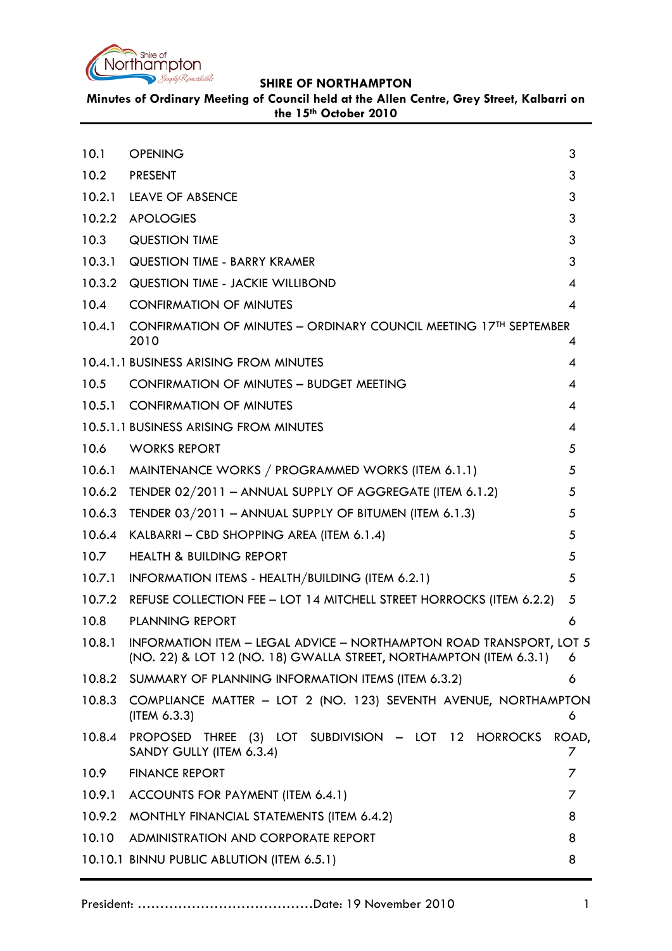

**Minutes of Ordinary Meeting of Council held at the Allen Centre, Grey Street, Kalbarri on the 15th October 2010**

<span id="page-0-0"></span>

| 10.1   | <b>OPENING</b>                                                                                                                                   | 3                          |
|--------|--------------------------------------------------------------------------------------------------------------------------------------------------|----------------------------|
| 10.2   | <b>PRESENT</b>                                                                                                                                   | 3                          |
| 10.2.1 | <b>LEAVE OF ABSENCE</b>                                                                                                                          | 3                          |
|        | 10.2.2 APOLOGIES                                                                                                                                 | 3                          |
| 10.3   | <b>QUESTION TIME</b>                                                                                                                             | 3                          |
| 10.3.1 | <b>QUESTION TIME - BARRY KRAMER</b>                                                                                                              | 3                          |
|        | 10.3.2 QUESTION TIME - JACKIE WILLIBOND                                                                                                          | $\overline{4}$             |
| 10.4   | <b>CONFIRMATION OF MINUTES</b>                                                                                                                   | $\boldsymbol{\mathcal{A}}$ |
| 10.4.1 | CONFIRMATION OF MINUTES - ORDINARY COUNCIL MEETING 17 <sup>TH</sup> SEPTEMBER<br>2010                                                            | 4                          |
|        | 10.4.1.1 BUSINESS ARISING FROM MINUTES                                                                                                           | 4                          |
| 10.5   | <b>CONFIRMATION OF MINUTES - BUDGET MEETING</b>                                                                                                  | 4                          |
|        | 10.5.1 CONFIRMATION OF MINUTES                                                                                                                   | $\overline{\mathcal{A}}$   |
|        | 10.5.1.1 BUSINESS ARISING FROM MINUTES                                                                                                           | $\overline{4}$             |
| 10.6   | <b>WORKS REPORT</b>                                                                                                                              | 5                          |
| 10.6.1 | MAINTENANCE WORKS / PROGRAMMED WORKS (ITEM 6.1.1)                                                                                                | 5                          |
| 10.6.2 | TENDER 02/2011 - ANNUAL SUPPLY OF AGGREGATE (ITEM 6.1.2)                                                                                         | 5                          |
| 10.6.3 | TENDER $03/2011$ – ANNUAL SUPPLY OF BITUMEN (ITEM 6.1.3)                                                                                         | 5                          |
| 10.6.4 | KALBARRI - CBD SHOPPING AREA (ITEM 6.1.4)                                                                                                        | 5                          |
| 10.7   | <b>HEALTH &amp; BUILDING REPORT</b>                                                                                                              | 5                          |
| 10.7.1 | INFORMATION ITEMS - HEALTH/BUILDING (ITEM 6.2.1)                                                                                                 | 5                          |
|        | 10.7.2 REFUSE COLLECTION FEE - LOT 14 MITCHELL STREET HORROCKS (ITEM 6.2.2)                                                                      | 5                          |
| 10.8   | <b>PLANNING REPORT</b>                                                                                                                           | 6                          |
|        | 10.8.1 INFORMATION ITEM - LEGAL ADVICE - NORTHAMPTON ROAD TRANSPORT, LOT 5<br>(NO. 22) & LOT 12 (NO. 18) GWALLA STREET, NORTHAMPTON (ITEM 6.3.1) | - 6                        |
|        | 10.8.2 SUMMARY OF PLANNING INFORMATION ITEMS (ITEM 6.3.2)                                                                                        | 6                          |
|        | 10.8.3 COMPLIANCE MATTER - LOT 2 (NO. 123) SEVENTH AVENUE, NORTHAMPTON<br>(ITER 6.3.3)                                                           | 6                          |
| 10.8.4 | PROPOSED THREE (3) LOT SUBDIVISION - LOT 12 HORROCKS<br>SANDY GULLY (ITEM 6.3.4)                                                                 | ROAD,<br>Γ                 |
| 10.9   | <b>FINANCE REPORT</b>                                                                                                                            | 7                          |
| 10.9.1 | ACCOUNTS FOR PAYMENT (ITEM 6.4.1)                                                                                                                | 7                          |
|        | 10.9.2 MONTHLY FINANCIAL STATEMENTS (ITEM 6.4.2)                                                                                                 | 8                          |
| 10.10  | ADMINISTRATION AND CORPORATE REPORT                                                                                                              | 8                          |
|        | 10.10.1 BINNU PUBLIC ABLUTION (ITEM 6.5.1)                                                                                                       | 8                          |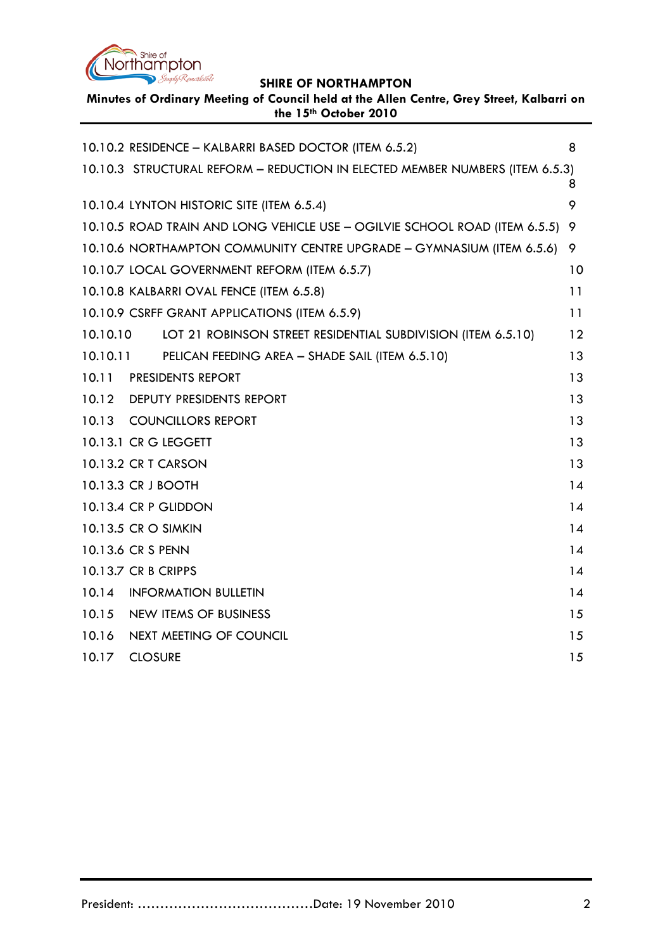

**Minutes of Ordinary Meeting of Council held at the Allen Centre, Grey Street, Kalbarri on the 15th October 2010**

|          | 10.10.2 RESIDENCE - KALBARRI BASED DOCTOR (ITEM 6.5.2)                       | 8   |
|----------|------------------------------------------------------------------------------|-----|
|          | 10.10.3 STRUCTURAL REFORM - REDUCTION IN ELECTED MEMBER NUMBERS (ITEM 6.5.3) | 8   |
|          | 10.10.4 LYNTON HISTORIC SITE (ITEM 6.5.4)                                    | 9   |
|          | 10.10.5 ROAD TRAIN AND LONG VEHICLE USE - OGILVIE SCHOOL ROAD (ITEM 6.5.5) 9 |     |
|          | 10.10.6 NORTHAMPTON COMMUNITY CENTRE UPGRADE - GYMNASIUM (ITEM 6.5.6)        | - 9 |
|          | 10.10.7 LOCAL GOVERNMENT REFORM (ITEM 6.5.7)                                 | 10  |
|          | 10.10.8 KALBARRI OVAL FENCE (ITEM 6.5.8)                                     | 11  |
|          | 10.10.9 CSRFF GRANT APPLICATIONS (ITEM 6.5.9)                                | 11  |
| 10.10.10 | LOT 21 ROBINSON STREET RESIDENTIAL SUBDIVISION (ITEM 6.5.10)                 | 12  |
| 10.10.11 | PELICAN FEEDING AREA - SHADE SAIL (ITEM 6.5.10)                              | 13  |
| 10.11    | <b>PRESIDENTS REPORT</b>                                                     | 13  |
| 10.12    | <b>DEPUTY PRESIDENTS REPORT</b>                                              | 13  |
| 10.13    | <b>COUNCILLORS REPORT</b>                                                    | 13  |
|          | 10.13.1 CR G LEGGETT                                                         | 13  |
|          | 10.13.2 CR T CARSON                                                          | 13  |
|          | 10.13.3 CR J BOOTH                                                           | 14  |
|          | 10.13.4 CR P GLIDDON                                                         | 14  |
|          | 10.13.5 CR O SIMKIN                                                          | 14  |
|          | 10.13.6 CR S PENN                                                            | 14  |
|          | 10.13.7 CR B CRIPPS                                                          | 14  |
| 10.14    | <b>INFORMATION BULLETIN</b>                                                  | 14  |
| 10.15    | <b>NEW ITEMS OF BUSINESS</b>                                                 | 15  |
| 10.16    | NEXT MEETING OF COUNCIL                                                      | 15  |
| 10.17    | <b>CLOSURE</b>                                                               | 15  |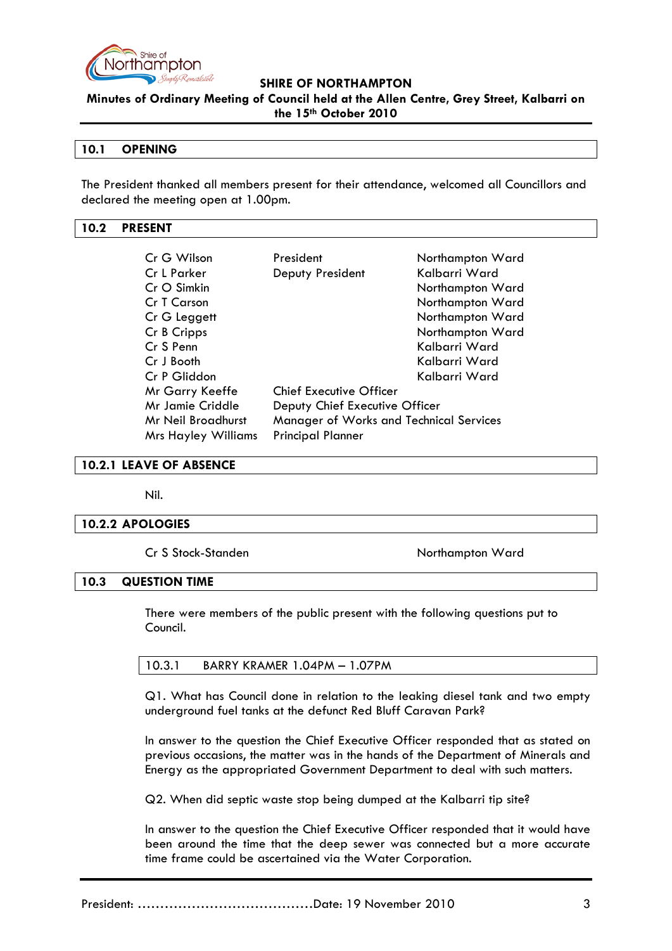

**Minutes of Ordinary Meeting of Council held at the Allen Centre, Grey Street, Kalbarri on the 15th October 2010**

## **10.1 OPENING**

The President thanked all members present for their attendance, welcomed all Councillors and declared the meeting open at 1.00pm.

#### <span id="page-2-0"></span>**10.2 PRESENT**

| Cr G Wilson                                               | President                               | Northampton Ward |
|-----------------------------------------------------------|-----------------------------------------|------------------|
| Cr L Parker                                               | Deputy President                        | Kalbarri Ward    |
| Cr O Simkin                                               |                                         | Northampton Ward |
| Cr T Carson                                               |                                         | Northampton Ward |
| Cr G Leggett                                              |                                         | Northampton Ward |
| Cr B Cripps                                               |                                         | Northampton Ward |
| Cr S Penn                                                 |                                         | Kalbarri Ward    |
| Cr J Booth                                                |                                         | Kalbarri Ward    |
| Cr P Gliddon                                              |                                         | Kalbarri Ward    |
| Mr Garry Keeffe                                           | <b>Chief Executive Officer</b>          |                  |
| <b>Mr Jamie Criddle</b><br>Deputy Chief Executive Officer |                                         |                  |
| Mr Neil Broadhurst                                        | Manager of Works and Technical Services |                  |
| <b>Mrs Hayley Williams</b>                                | <b>Principal Planner</b>                |                  |

#### <span id="page-2-1"></span>**10.2.1 LEAVE OF ABSENCE**

Nil.

## <span id="page-2-2"></span>**10.2.2 APOLOGIES**

Cr S Stock-Standen Northampton Ward

#### <span id="page-2-3"></span>**10.3 QUESTION TIME**

There were members of the public present with the following questions put to Council.

| 10.3.1 | BARRY KRAMER 1.04PM – 1.07PM |
|--------|------------------------------|
|--------|------------------------------|

Q1. What has Council done in relation to the leaking diesel tank and two empty underground fuel tanks at the defunct Red Bluff Caravan Park?

In answer to the question the Chief Executive Officer responded that as stated on previous occasions, the matter was in the hands of the Department of Minerals and Energy as the appropriated Government Department to deal with such matters.

Q2. When did septic waste stop being dumped at the Kalbarri tip site?

In answer to the question the Chief Executive Officer responded that it would have been around the time that the deep sewer was connected but a more accurate time frame could be ascertained via the Water Corporation.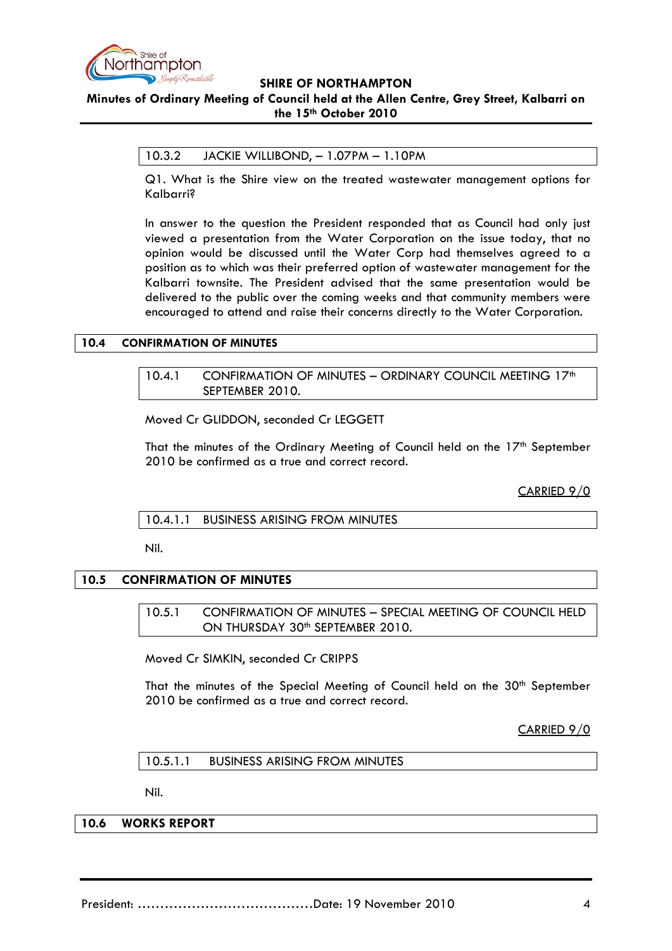

# **Minutes of Ordinary Meeting of Council held at the Allen Centre, Grey Street, Kalbarri on the 15th October 2010**

#### 10.3.2 JACKIE WILLIBOND, – 1.07PM – 1.10PM

Q1. What is the Shire view on the treated wastewater management options for Kalbarri?

In answer to the question the President responded that as Council had only just viewed a presentation from the Water Corporation on the issue today, that no opinion would be discussed until the Water Corp had themselves agreed to a position as to which was their preferred option of wastewater management for the Kalbarri townsite. The President advised that the same presentation would be delivered to the public over the coming weeks and that community members were encouraged to attend and raise their concerns directly to the Water Corporation.

#### <span id="page-3-1"></span><span id="page-3-0"></span>**10.4 CONFIRMATION OF MINUTES**

10.4.1 CONFIRMATION OF MINUTES - ORDINARY COUNCIL MEETING 17th SEPTEMBER 2010.

Moved Cr GLIDDON, seconded Cr LEGGETT

That the minutes of the Ordinary Meeting of Council held on the 17<sup>th</sup> September 2010 be confirmed as a true and correct record.

CARRIED 9/0

<span id="page-3-2"></span>10.4.1.1 BUSINESS ARISING FROM MINUTES

Nil.

#### **10.5 CONFIRMATION OF MINUTES**

10.5.1 CONFIRMATION OF MINUTES – SPECIAL MEETING OF COUNCIL HELD ON THURSDAY 30<sup>th</sup> SEPTEMBER 2010.

Moved Cr SIMKIN, seconded Cr CRIPPS

That the minutes of the Special Meeting of Council held on the 30<sup>th</sup> September 2010 be confirmed as a true and correct record.

CARRIED 9/0

10.5.1.1 BUSINESS ARISING FROM MINUTES

Nil.

## **10.6 WORKS REPORT**

President: …………………………………Date: 19 November 2010 4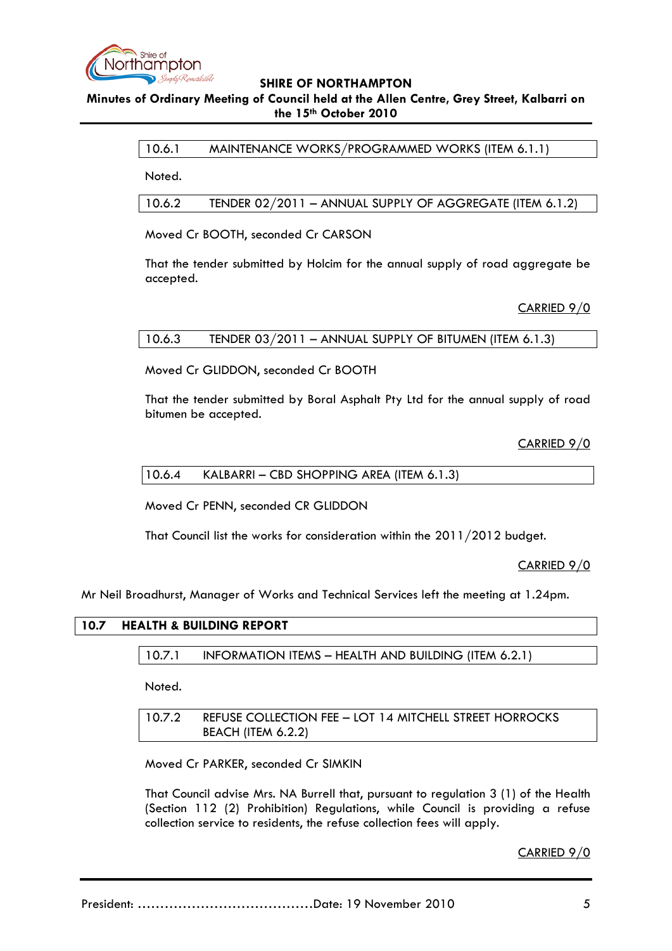

# **Minutes of Ordinary Meeting of Council held at the Allen Centre, Grey Street, Kalbarri on the 15th October 2010**

## 10.6.1 MAINTENANCE WORKS/PROGRAMMED WORKS (ITEM 6.1.1)

Noted.

10.6.2 TENDER 02/2011 – ANNUAL SUPPLY OF AGGREGATE (ITEM 6.1.2)

Moved Cr BOOTH, seconded Cr CARSON

That the tender submitted by Holcim for the annual supply of road aggregate be accepted.

## CARRIED 9/0

## 10.6.3 TENDER 03/2011 – ANNUAL SUPPLY OF BITUMEN (ITEM 6.1.3)

Moved Cr GLIDDON, seconded Cr BOOTH

That the tender submitted by Boral Asphalt Pty Ltd for the annual supply of road bitumen be accepted.

CARRIED 9/0

10.6.4 KALBARRI – CBD SHOPPING AREA (ITEM 6.1.3)

Moved Cr PENN, seconded CR GLIDDON

That Council list the works for consideration within the 2011/2012 budget.

CARRIED 9/0

Mr Neil Broadhurst, Manager of Works and Technical Services left the meeting at 1.24pm.

#### **10.7 HEALTH & BUILDING REPORT**

10.7.1 INFORMATION ITEMS – HEALTH AND BUILDING (ITEM 6.2.1)

Noted.

10.7.2 REFUSE COLLECTION FEE – LOT 14 MITCHELL STREET HORROCKS BEACH (ITEM 6.2.2)

Moved Cr PARKER, seconded Cr SIMKIN

That Council advise Mrs. NA Burrell that, pursuant to regulation 3 (1) of the Health (Section 112 (2) Prohibition) Regulations, while Council is providing a refuse collection service to residents, the refuse collection fees will apply.

CARRIED 9/0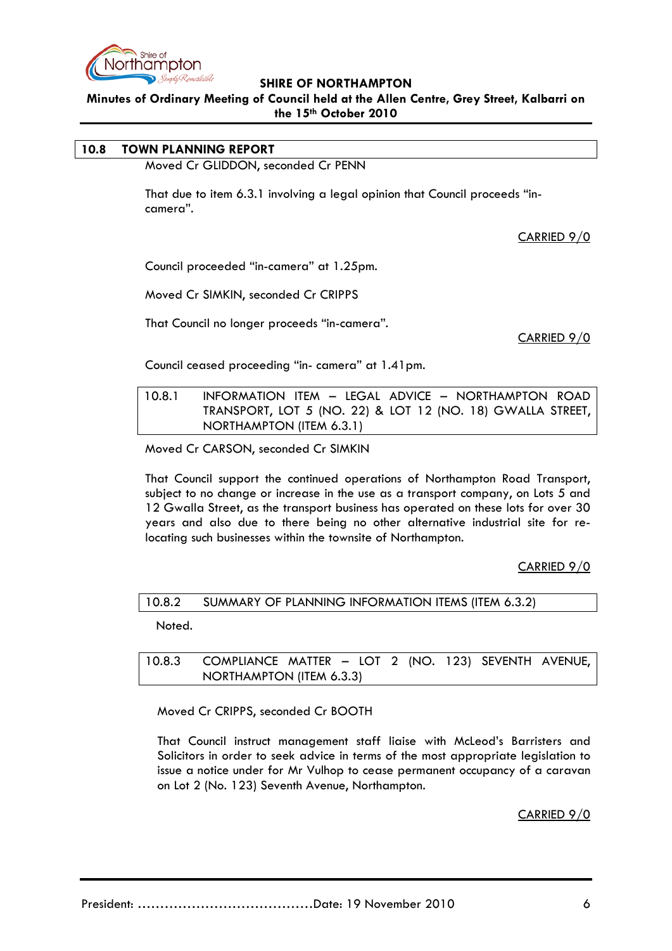

**Minutes of Ordinary Meeting of Council held at the Allen Centre, Grey Street, Kalbarri on the 15th October 2010**

# **10.8 TOWN PLANNING REPORT**

Moved Cr GLIDDON, seconded Cr PENN

That due to item 6.3.1 involving a legal opinion that Council proceeds "incamera".

CARRIED 9/0

Council proceeded "in-camera" at 1.25pm.

Moved Cr SIMKIN, seconded Cr CRIPPS

That Council no longer proceeds "in-camera".

CARRIED 9/0

Council ceased proceeding "in- camera" at 1.41pm.

10.8.1 INFORMATION ITEM – LEGAL ADVICE – NORTHAMPTON ROAD TRANSPORT, LOT 5 (NO. 22) & LOT 12 (NO. 18) GWALLA STREET, NORTHAMPTON (ITEM 6.3.1)

Moved Cr CARSON, seconded Cr SIMKIN

That Council support the continued operations of Northampton Road Transport, subject to no change or increase in the use as a transport company, on Lots 5 and 12 Gwalla Street, as the transport business has operated on these lots for over 30 years and also due to there being no other alternative industrial site for relocating such businesses within the townsite of Northampton.

CARRIED 9/0

10.8.2 SUMMARY OF PLANNING INFORMATION ITEMS (ITEM 6.3.2)

Noted.

10.8.3 COMPLIANCE MATTER – LOT 2 (NO. 123) SEVENTH AVENUE, NORTHAMPTON (ITEM 6.3.3)

Moved Cr CRIPPS, seconded Cr BOOTH

That Council instruct management staff liaise with McLeod's Barristers and Solicitors in order to seek advice in terms of the most appropriate legislation to issue a notice under for Mr Vulhop to cease permanent occupancy of a caravan on Lot 2 (No. 123) Seventh Avenue, Northampton.

CARRIED 9/0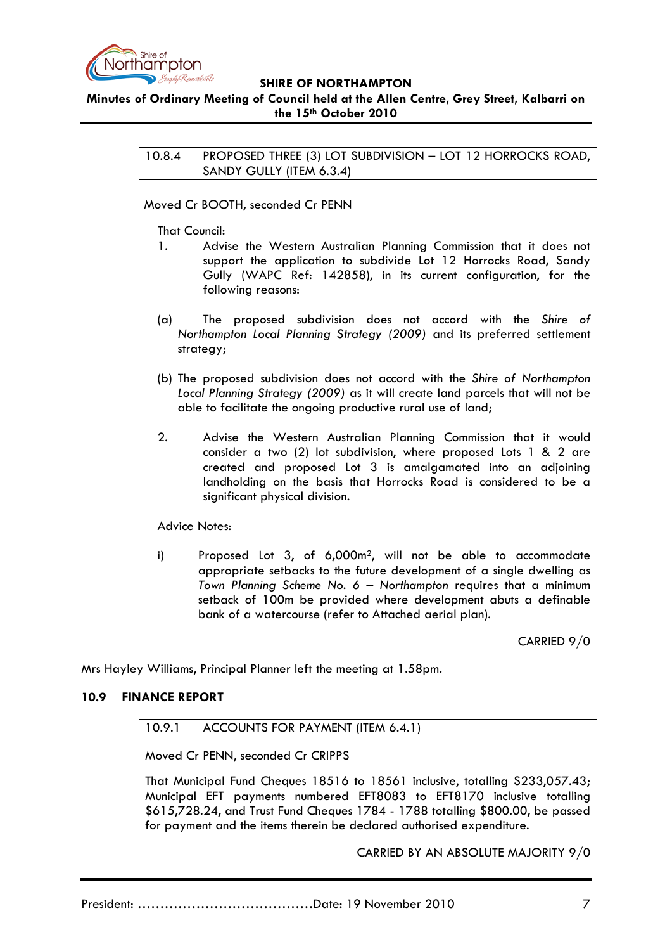

# **Minutes of Ordinary Meeting of Council held at the Allen Centre, Grey Street, Kalbarri on the 15th October 2010**

10.8.4 PROPOSED THREE (3) LOT SUBDIVISION – LOT 12 HORROCKS ROAD, SANDY GULLY (ITEM 6.3.4)

Moved Cr BOOTH, seconded Cr PENN

That Council:

- 1. Advise the Western Australian Planning Commission that it does not support the application to subdivide Lot 12 Horrocks Road, Sandy Gully (WAPC Ref: 142858), in its current configuration, for the following reasons:
- (a) The proposed subdivision does not accord with the *Shire of Northampton Local Planning Strategy (2009)* and its preferred settlement strategy;
- (b) The proposed subdivision does not accord with the *Shire of Northampton Local Planning Strategy (2009)* as it will create land parcels that will not be able to facilitate the ongoing productive rural use of land;
- 2. Advise the Western Australian Planning Commission that it would consider a two (2) lot subdivision, where proposed Lots 1 & 2 are created and proposed Lot 3 is amalgamated into an adjoining landholding on the basis that Horrocks Road is considered to be a significant physical division.

#### Advice Notes:

i) Proposed Lot 3, of 6,000m2, will not be able to accommodate appropriate setbacks to the future development of a single dwelling as *Town Planning Scheme No. 6 – Northampton* requires that a minimum setback of 100m be provided where development abuts a definable bank of a watercourse (refer to Attached aerial plan).

CARRIED 9/0

Mrs Hayley Williams, Principal Planner left the meeting at 1.58pm.

## **10.9 FINANCE REPORT**

#### 10.9.1 ACCOUNTS FOR PAYMENT (ITEM 6.4.1)

Moved Cr PENN, seconded Cr CRIPPS

That Municipal Fund Cheques 18516 to 18561 inclusive, totalling \$233,057.43; Municipal EFT payments numbered EFT8083 to EFT8170 inclusive totalling \$615,728.24, and Trust Fund Cheques 1784 - 1788 totalling \$800.00, be passed for payment and the items therein be declared authorised expenditure.

CARRIED BY AN ABSOLUTE MAJORITY 9/0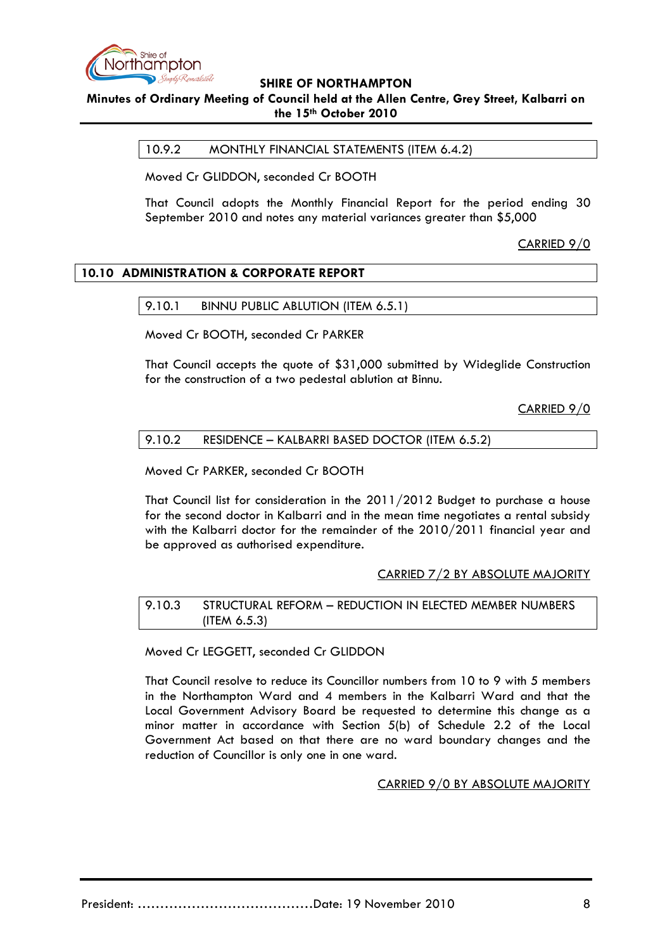

**Minutes of Ordinary Meeting of Council held at the Allen Centre, Grey Street, Kalbarri on the 15th October 2010**

10.9.2 MONTHLY FINANCIAL STATEMENTS (ITEM 6.4.2)

Moved Cr GLIDDON, seconded Cr BOOTH

That Council adopts the Monthly Financial Report for the period ending 30 September 2010 and notes any material variances greater than \$5,000

CARRIED 9/0

# **10.10 ADMINISTRATION & CORPORATE REPORT**

9.10.1 BINNU PUBLIC ABLUTION (ITEM 6.5.1)

Moved Cr BOOTH, seconded Cr PARKER

That Council accepts the quote of \$31,000 submitted by Wideglide Construction for the construction of a two pedestal ablution at Binnu.

CARRIED 9/0

#### 9.10.2 RESIDENCE – KALBARRI BASED DOCTOR (ITEM 6.5.2)

Moved Cr PARKER, seconded Cr BOOTH

That Council list for consideration in the 2011/2012 Budget to purchase a house for the second doctor in Kalbarri and in the mean time negotiates a rental subsidy with the Kalbarri doctor for the remainder of the 2010/2011 financial year and be approved as authorised expenditure.

#### CARRIED 7/2 BY ABSOLUTE MAJORITY

9.10.3 STRUCTURAL REFORM – REDUCTION IN ELECTED MEMBER NUMBERS (ITEM 6.5.3)

Moved Cr LEGGETT, seconded Cr GLIDDON

That Council resolve to reduce its Councillor numbers from 10 to 9 with 5 members in the Northampton Ward and 4 members in the Kalbarri Ward and that the Local Government Advisory Board be requested to determine this change as a minor matter in accordance with Section 5(b) of Schedule 2.2 of the Local Government Act based on that there are no ward boundary changes and the reduction of Councillor is only one in one ward.

CARRIED 9/0 BY ABSOLUTE MAJORITY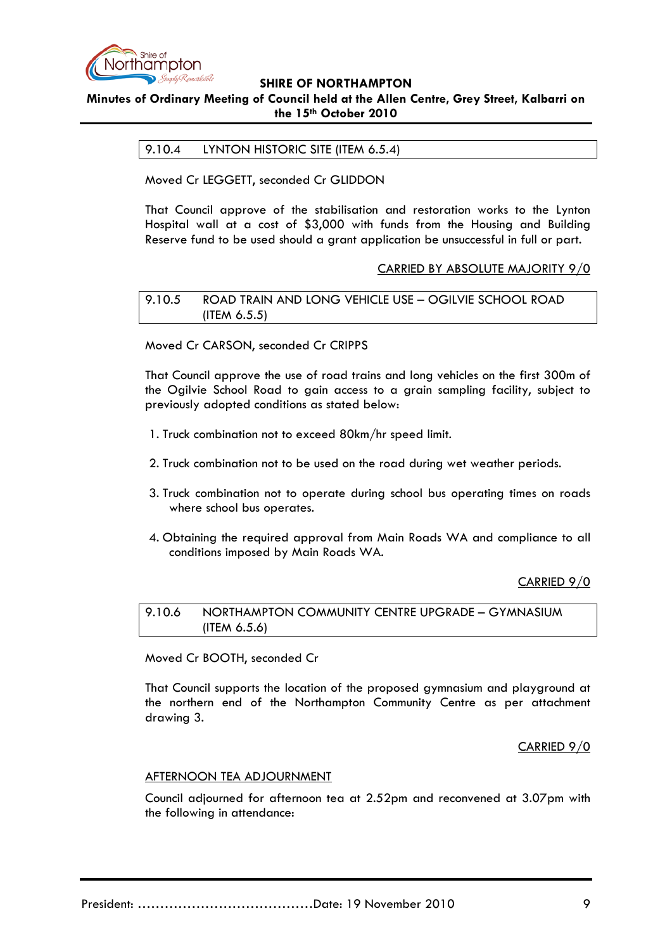

# **Minutes of Ordinary Meeting of Council held at the Allen Centre, Grey Street, Kalbarri on the 15th October 2010**

## 9.10.4 LYNTON HISTORIC SITE (ITEM 6.5.4)

Moved Cr LEGGETT, seconded Cr GLIDDON

That Council approve of the stabilisation and restoration works to the Lynton Hospital wall at a cost of \$3,000 with funds from the Housing and Building Reserve fund to be used should a grant application be unsuccessful in full or part.

#### CARRIED BY ABSOLUTE MAJORITY 9/0

9.10.5 ROAD TRAIN AND LONG VEHICLE USE – OGILVIE SCHOOL ROAD (ITEM 6.5.5)

Moved Cr CARSON, seconded Cr CRIPPS

That Council approve the use of road trains and long vehicles on the first 300m of the Ogilvie School Road to gain access to a grain sampling facility, subject to previously adopted conditions as stated below:

- 1. Truck combination not to exceed 80km/hr speed limit.
- 2. Truck combination not to be used on the road during wet weather periods.
- 3. Truck combination not to operate during school bus operating times on roads where school bus operates.
- 4. Obtaining the required approval from Main Roads WA and compliance to all conditions imposed by Main Roads WA.

CARRIED 9/0

9.10.6 NORTHAMPTON COMMUNITY CENTRE UPGRADE – GYMNASIUM (ITEM 6.5.6)

Moved Cr BOOTH, seconded Cr

That Council supports the location of the proposed gymnasium and playground at the northern end of the Northampton Community Centre as per attachment drawing 3.

CARRIED 9/0

#### AFTERNOON TEA ADJOURNMENT

Council adjourned for afternoon tea at 2.52pm and reconvened at 3.07pm with the following in attendance: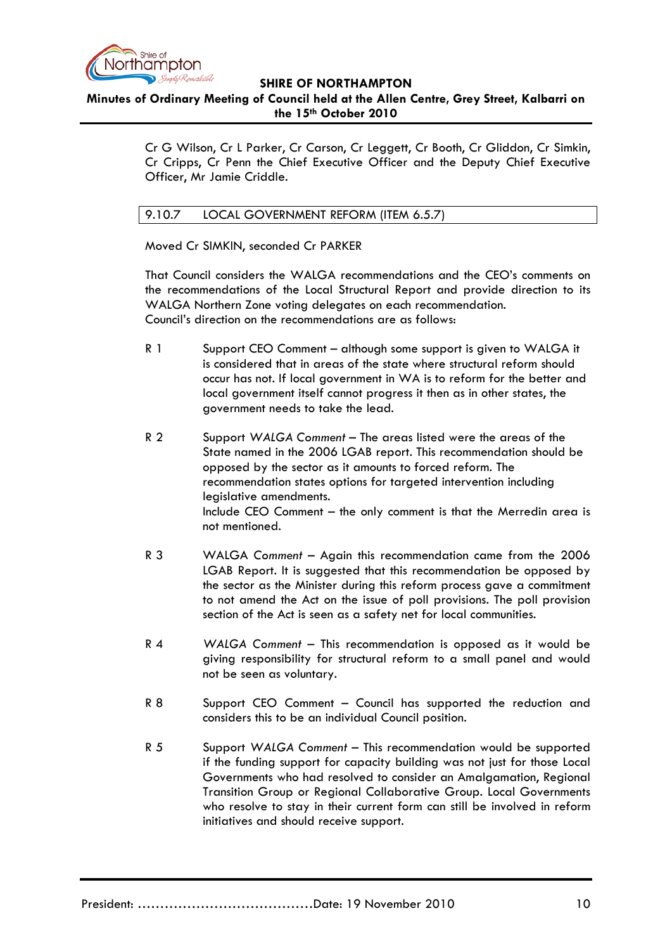

## **SHIRE OF NORTHAMPTON Minutes of Ordinary Meeting of Council held at the Allen Centre, Grey Street, Kalbarri on the 15th October 2010**

Cr G Wilson, Cr L Parker, Cr Carson, Cr Leggett, Cr Booth, Cr Gliddon, Cr Simkin, Cr Cripps, Cr Penn the Chief Executive Officer and the Deputy Chief Executive Officer, Mr Jamie Criddle.

# 9.10.7 LOCAL GOVERNMENT REFORM (ITEM 6.5.7)

Moved Cr SIMKIN, seconded Cr PARKER

That Council considers the WALGA recommendations and the CEO's comments on the recommendations of the Local Structural Report and provide direction to its WALGA Northern Zone voting delegates on each recommendation. Council's direction on the recommendations are as follows:

- R 1 Support CEO Comment although some support is given to WALGA it is considered that in areas of the state where structural reform should occur has not. If local government in WA is to reform for the better and local government itself cannot progress it then as in other states, the government needs to take the lead.
- R 2 Support *WALGA Comment*  The areas listed were the areas of the State named in the 2006 LGAB report. This recommendation should be opposed by the sector as it amounts to forced reform. The recommendation states options for targeted intervention including legislative amendments. Include CEO Comment – the only comment is that the Merredin area is not mentioned.
- R 3 WALGA *Comment* Again this recommendation came from the 2006 LGAB Report. It is suggested that this recommendation be opposed by the sector as the Minister during this reform process gave a commitment to not amend the Act on the issue of poll provisions. The poll provision section of the Act is seen as a safety net for local communities.
- R 4 *WALGA Comment* This recommendation is opposed as it would be giving responsibility for structural reform to a small panel and would not be seen as voluntary.
- R 8 Support CEO Comment Council has supported the reduction and considers this to be an individual Council position.
- R 5 Support *WALGA Comment* This recommendation would be supported if the funding support for capacity building was not just for those Local Governments who had resolved to consider an Amalgamation, Regional Transition Group or Regional Collaborative Group. Local Governments who resolve to stay in their current form can still be involved in reform initiatives and should receive support.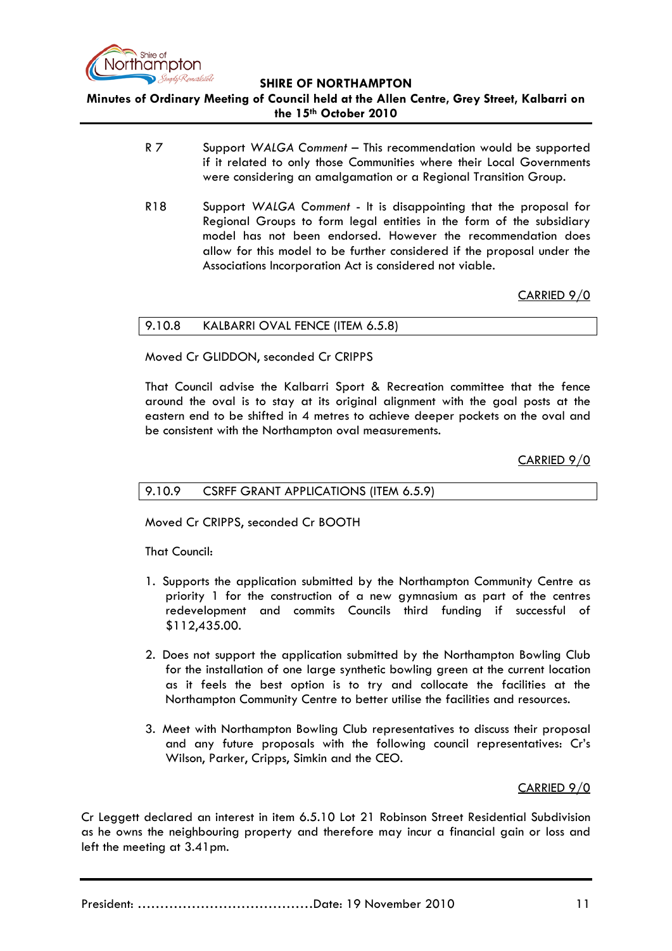

**SHIRE OF NORTHAMPTON Minutes of Ordinary Meeting of Council held at the Allen Centre, Grey Street, Kalbarri on the 15th October 2010**

- R 7 Support *WALGA Comment* This recommendation would be supported if it related to only those Communities where their Local Governments were considering an amalgamation or a Regional Transition Group.
- R18 Support *WALGA Comment* It is disappointing that the proposal for Regional Groups to form legal entities in the form of the subsidiary model has not been endorsed. However the recommendation does allow for this model to be further considered if the proposal under the Associations Incorporation Act is considered not viable.

CARRIED 9/0

#### 9.10.8 KALBARRI OVAL FENCE (ITEM 6.5.8)

Moved Cr GLIDDON, seconded Cr CRIPPS

That Council advise the Kalbarri Sport & Recreation committee that the fence around the oval is to stay at its original alignment with the goal posts at the eastern end to be shifted in 4 metres to achieve deeper pockets on the oval and be consistent with the Northampton oval measurements.

CARRIED 9/0

#### 9.10.9 CSRFF GRANT APPLICATIONS (ITEM 6.5.9)

Moved Cr CRIPPS, seconded Cr BOOTH

That Council:

- 1. Supports the application submitted by the Northampton Community Centre as priority 1 for the construction of a new gymnasium as part of the centres redevelopment and commits Councils third funding if successful of \$112,435.00.
- 2. Does not support the application submitted by the Northampton Bowling Club for the installation of one large synthetic bowling green at the current location as it feels the best option is to try and collocate the facilities at the Northampton Community Centre to better utilise the facilities and resources.
- 3. Meet with Northampton Bowling Club representatives to discuss their proposal and any future proposals with the following council representatives: Cr's Wilson, Parker, Cripps, Simkin and the CEO.

CARRIED 9/0

Cr Leggett declared an interest in item 6.5.10 Lot 21 Robinson Street Residential Subdivision as he owns the neighbouring property and therefore may incur a financial gain or loss and left the meeting at 3.41pm.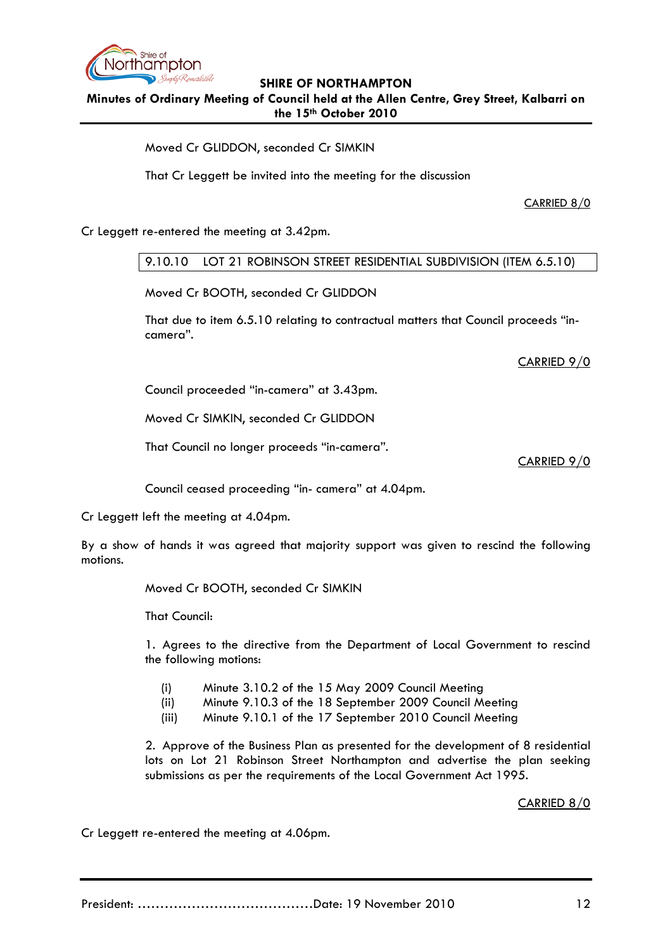

**Minutes of Ordinary Meeting of Council held at the Allen Centre, Grey Street, Kalbarri on the 15th October 2010**

Moved Cr GLIDDON, seconded Cr SIMKIN

That Cr Leggett be invited into the meeting for the discussion

CARRIED 8/0

Cr Leggett re-entered the meeting at 3.42pm.

## 9.10.10 LOT 21 ROBINSON STREET RESIDENTIAL SUBDIVISION (ITEM 6.5.10)

Moved Cr BOOTH, seconded Cr GLIDDON

That due to item 6.5.10 relating to contractual matters that Council proceeds "incamera".

CARRIED 9/0

Council proceeded "in-camera" at 3.43pm.

Moved Cr SIMKIN, seconded Cr GLIDDON

That Council no longer proceeds "in-camera".

CARRIED 9/0

Council ceased proceeding "in- camera" at 4.04pm.

Cr Leggett left the meeting at 4.04pm.

By a show of hands it was agreed that majority support was given to rescind the following motions.

Moved Cr BOOTH, seconded Cr SIMKIN

That Council:

1. Agrees to the directive from the Department of Local Government to rescind the following motions:

- (i) Minute 3.10.2 of the 15 May 2009 Council Meeting
- (ii) Minute 9.10.3 of the 18 September 2009 Council Meeting
- (iii) Minute 9.10.1 of the 17 September 2010 Council Meeting

2. Approve of the Business Plan as presented for the development of 8 residential lots on Lot 21 Robinson Street Northampton and advertise the plan seeking submissions as per the requirements of the Local Government Act 1995.

CARRIED 8/0

Cr Leggett re-entered the meeting at 4.06pm.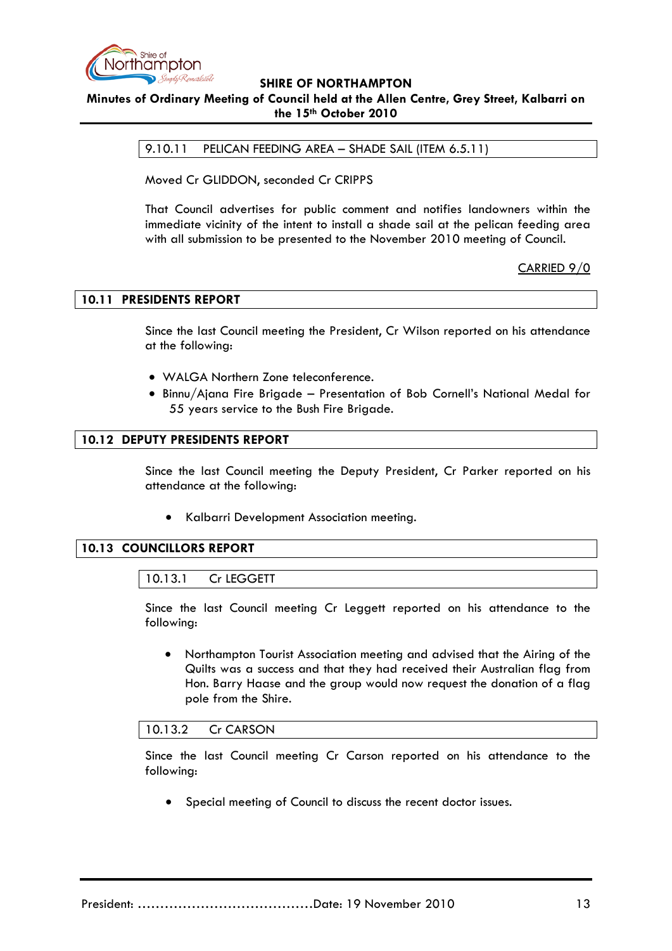

**Minutes of Ordinary Meeting of Council held at the Allen Centre, Grey Street, Kalbarri on the 15th October 2010**

9.10.11 PELICAN FEEDING AREA – SHADE SAIL (ITEM 6.5.11)

Moved Cr GLIDDON, seconded Cr CRIPPS

That Council advertises for public comment and notifies landowners within the immediate vicinity of the intent to install a shade sail at the pelican feeding area with all submission to be presented to the November 2010 meeting of Council.

CARRIED 9/0

## **10.11 PRESIDENTS REPORT**

Since the last Council meeting the President, Cr Wilson reported on his attendance at the following:

- WALGA Northern Zone teleconference.
- Binnu/Ajana Fire Brigade Presentation of Bob Cornell's National Medal for 55 years service to the Bush Fire Brigade.

## **10.12 DEPUTY PRESIDENTS REPORT**

Since the last Council meeting the Deputy President, Cr Parker reported on his attendance at the following:

• Kalbarri Development Association meeting.

#### **10.13 COUNCILLORS REPORT**

10.13.1 Cr LEGGETT

Since the last Council meeting Cr Leggett reported on his attendance to the following:

• Northampton Tourist Association meeting and advised that the Airing of the Quilts was a success and that they had received their Australian flag from Hon. Barry Haase and the group would now request the donation of a flag pole from the Shire.

#### 10.13.2 Cr CARSON

Since the last Council meeting Cr Carson reported on his attendance to the following:

Special meeting of Council to discuss the recent doctor issues.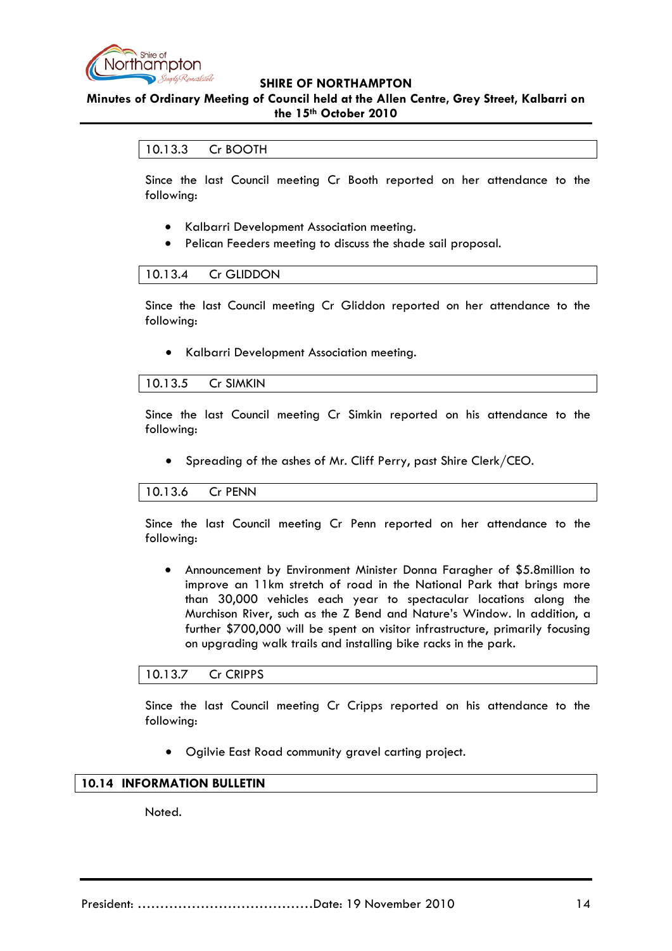

## **Minutes of Ordinary Meeting of Council held at the Allen Centre, Grey Street, Kalbarri on the 15th October 2010**

## 10.13.3 Cr BOOTH

Since the last Council meeting Cr Booth reported on her attendance to the following:

- Kalbarri Development Association meeting.
- Pelican Feeders meeting to discuss the shade sail proposal.

#### 10.13.4 Cr GLIDDON

Since the last Council meeting Cr Gliddon reported on her attendance to the following:

• Kalbarri Development Association meeting.

#### 10.13.5 Cr SIMKIN

Since the last Council meeting Cr Simkin reported on his attendance to the following:

• Spreading of the ashes of Mr. Cliff Perry, past Shire Clerk/CEO.

#### 10.13.6 Cr PENN

Since the last Council meeting Cr Penn reported on her attendance to the following:

• Announcement by Environment Minister Donna Faragher of \$5.8million to improve an 11km stretch of road in the National Park that brings more than 30,000 vehicles each year to spectacular locations along the Murchison River, such as the Z Bend and Nature's Window. In addition, a further \$700,000 will be spent on visitor infrastructure, primarily focusing on upgrading walk trails and installing bike racks in the park.

### 10.13.7 Cr CRIPPS

Since the last Council meeting Cr Cripps reported on his attendance to the following:

• Ogilvie East Road community gravel carting project.

#### **10.14 INFORMATION BULLETIN**

Noted.